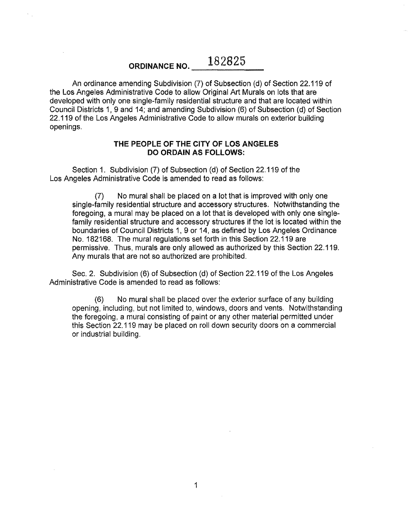## ORDINANCE NO. 282825

An ordinance amending Subdivision (7) of Subsection (d) of Section 22.119 of the Los Angeles Administrative Code to allow Original Art Murals on lots that are developed with only one single-family residential structure and that are located within Council Districts 1, 9 and 14; and amending Subdivision (6) of Subsection (d) of Section 22.119 of the Los Angeles Administrative Code to allow murals on exterior building openings.

## THE PEOPLE OF THE CITY OF LOS ANGELES DO ORDAIN AS FOLLOWS:

Section 1. Subdivision (7) of Subsection (d) of Section 22.119 of the Los Angeles Administrative Code is amended to read as follows:

(7) No mural shall be placed on a lot that is improved with only one single-family residential structure and accessory structures. Notwithstanding the foregoing, a mural may be placed on a lot that is developed with only one singlefamily residential structure and accessory structures if the lot is located within the boundaries of Council Districts 1, 9 or 14, as defined by Los Angeles Ordinance No. 182168. The mural regulations set forth in this Section 22.119 are permissive. Thus, murals are only allowed as authorized by this Section 22.119. Any murals that are not so authorized are prohibited.

Sec. 2. Subdivision (6) of Subsection (d) of Section 22.119 of the Los Angeles Administrative Code is amended to read as follows:

(6) No mural shall be placed over the exterior surface of any building opening, including, but not limited to, windows, doors and vents. Notwithstanding the foregoing, a mural consisting of paint or any other material permitted under this Section 22.119 may be placed on roll down security doors on a commercial or industrial building.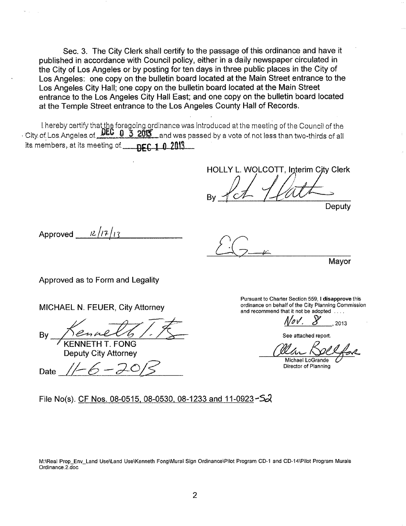Sec. 3. The City Clerk shall certify to the passage of this ordinance and have it published in accordance with Council policy, either in a daily newspaper circulated in the City of Los Angeles or by posting for ten days in three public places in the City of Los Angeles: one copy on the bulletin board located at the Main Street entrance to the Los Angeles City Hall; one copy on the bulletin board located at the Main Street entrance to the Los Angeles City Hall East; and one copy on the bulletin board located at the Temple Street entrance to the Los Angeles County Hall of Records.

I. hereby certify that the foregoing ordinance was introduced at the meeting of the Council of the · City of Los. Angeles. of. DEC 0 3 2013 and was passed by a vote of not less than two-thirds of all its members, at its meeting of. **DEC 1 0 2013** 

HOLLY L. WOLCOTT. Interim City Clerk By <u>Pct / Cath</u>

Deputy

Approved  $\frac{12}{17}$ 

*LG* h~ *rr* ,

Mayor

Approved as to Form and Legality

MICHAEL N. FEUER, City Attorney

By Kenneth T. Form

Deputy City Attorney<br>Date <u>// - *6 - 2* 0/ 5</u>

Pursuant to Charter Section 559, I disapprove this ordinance on behalf of the City Planning Commission and recommend that it not be adopted ....

;1,4 *v', J-'* , 2o13

See attached report.

Michael LoGrande<br>Director of Planning

File No(s). CF Nos. 08-0515, 08-0530, 08-1233 and 11-0923-5 $\lambda$ 

M:\Real Prop\_Env\_Land Use\Land Use\Kenneth Fong\Mural Sign Ordinance\Pilot Program CD-1 and CD-14\Pi!ot Program Murals Ordinance.2.doc